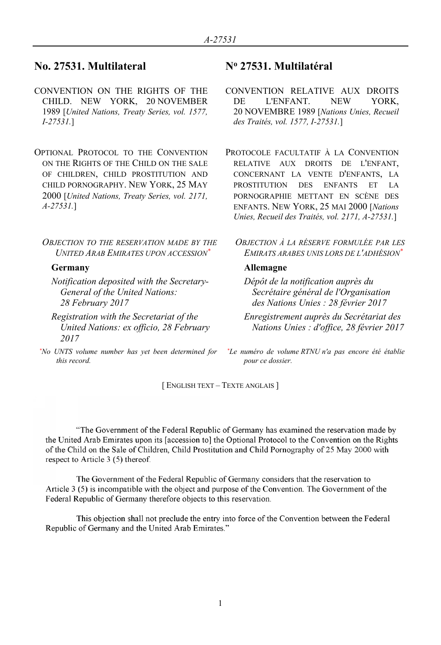# **No. 27531. Multilateral N<sup>o</sup> 27531. Multilatéral**

- CONVENTION ON THE RIGHTS OF THE CHILD. NEW YORK, 20 NOVEMBER 1989 [*United Nations, Treaty Series, vol. 1577, I-27531.*]
- OPTIONAL PROTOCOL TO THE CONVENTION ON THE RIGHTS OF THE CHILD ON THE SALE OF CHILDREN, CHILD PROSTITUTION AND CHILD PORNOGRAPHY. NEW YORK, 25 MAY 2000 [*United Nations, Treaty Series, vol. 2171, A-27531.*]

*OBJECTION TO THE RESERVATION MADE BY THE UNITED ARAB EMIRATES UPON ACCESSION\**

*Notification deposited with the Secretary-General of the United Nations: 28 February 2017*

*Registration with the Secretariat of the United Nations: ex officio, 28 February 2017*

*\*No UNTS volume number has yet been determined for this record.*

- CONVENTION RELATIVE AUX DROITS DE L'ENFANT. NEW YORK, 20 NOVEMBRE 1989 [*Nations Unies, Recueil des Traités, vol. 1577, I-27531.*]
- PROTOCOLE FACULTATIF À LA CONVENTION RELATIVE AUX DROITS DE L'ENFANT, CONCERNANT LA VENTE D'ENFANTS, LA PROSTITUTION DES ENFANTS ET LA PORNOGRAPHIE METTANT EN SCÈNE DES ENFANTS. NEW YORK, 25 MAI 2000 [*Nations Unies, Recueil des Traités, vol. 2171, A-27531.*]
	- *OBJECTION À LA RÉSERVE FORMULÉE PAR LES EMIRATS ARABES UNIS LORS DE L'ADHÉSION\**

## **Germany Allemagne**

*Dépôt de la notification auprès du Secrétaire général de l'Organisation des Nations Unies : 28 février 2017*

*Enregistrement auprès du Secrétariat des Nations Unies : d'office, 28 février 2017*

*\*Le numéro de volume RTNU n'a pas encore été établie pour ce dossier.*

[ ENGLISH TEXT – TEXTE ANGLAIS ]

"The Government of the Federal Republic of Germany has examined the reservation made by the United Arab Emirates upon its [accession to] the Optional Protocol to the Convention on the Rights of the Child on the Sale of Children, Child Prostitution and Child Pornography of 25 May 2000 with respect to Article 3 (5) thereof.

The Government of the Federal Republic of Germany considers that the reservation to Article 3 (5) is incompatible with the object and purpose of the Convention. The Government of the Federal Republic of Germany therefore objects to this reservation.

This objection shall not preclude the entry into force of the Convention between the Federal Republic of Germany and the United Arab Emirates."